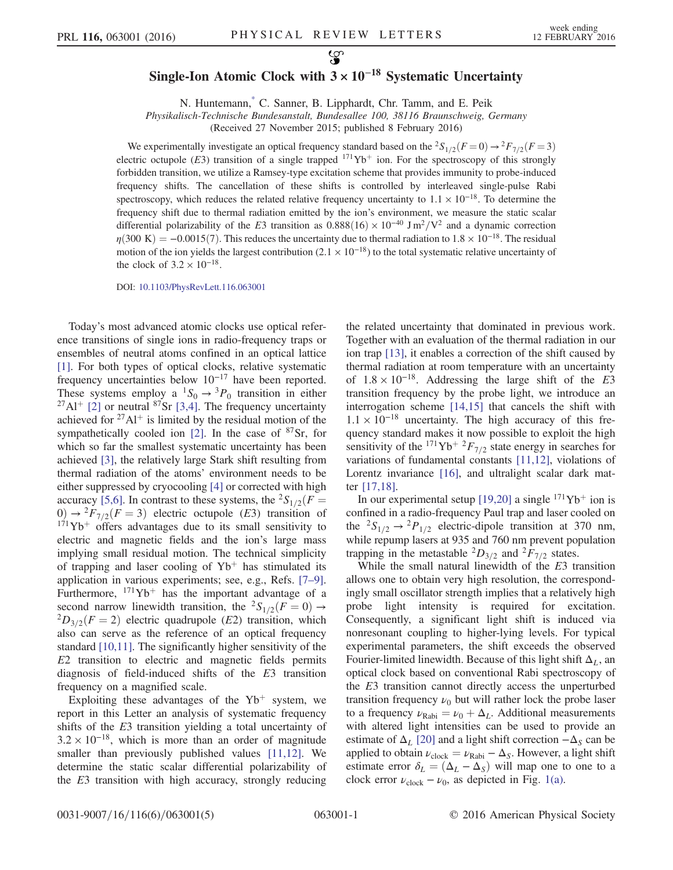## Single-Ion Atomic Clock with  $3 \times 10^{-18}$  Systematic Uncertainty

N. Huntemann,[\\*](#page-3-0) C. Sanner, B. Lipphardt, Chr. Tamm, and E. Peik

Physikalisch-Technische Bundesanstalt, Bundesallee 100, 38116 Braunschweig, Germany

(Received 27 November 2015; published 8 February 2016)

<span id="page-0-0"></span>We experimentally investigate an optical frequency standard based on the  ${}^2S_{1/2}(F=0) \rightarrow {}^2F_{7/2}(F=3)$ electric octupole (E3) transition of a single trapped  $171\text{Yb}^+$  ion. For the spectroscopy of this strongly forbidden transition, we utilize a Ramsey-type excitation scheme that provides immunity to probe-induced frequency shifts. The cancellation of these shifts is controlled by interleaved single-pulse Rabi spectroscopy, which reduces the related relative frequency uncertainty to  $1.1 \times 10^{-18}$ . To determine the frequency shift due to thermal radiation emitted by the ion's environment, we measure the static scalar differential polarizability of the E3 transition as  $0.888(16) \times 10^{-40}$  J m<sup>2</sup>/V<sup>2</sup> and a dynamic correction  $\eta(300 \text{ K}) = -0.0015(7)$ . This reduces the uncertainty due to thermal radiation to  $1.8 \times 10^{-18}$ . The residual motion of the ion yields the largest contribution  $(2.1 \times 10^{-18})$  to the total systematic relative uncertainty of the clock of  $3.2 \times 10^{-18}$ .

DOI: [10.1103/PhysRevLett.116.063001](http://dx.doi.org/10.1103/PhysRevLett.116.063001)

Today's most advanced atomic clocks use optical reference transitions of single ions in radio-frequency traps or ensembles of neutral atoms confined in an optical lattice [\[1\]](#page-3-1). For both types of optical clocks, relative systematic frequency uncertainties below  $10^{-17}$  have been reported. These systems employ a  ${}^{1}S_{0} \rightarrow {}^{3}P_{0}$  transition in either  $^{27}$ Al<sup>+</sup> [\[2\]](#page-3-2) or neutral <sup>87</sup>Sr [\[3,4\].](#page-3-3) The frequency uncertainty achieved for  $27\text{Al}^+$  is limited by the residual motion of the sympathetically cooled ion  $[2]$ . In the case of  $87$ Sr, for which so far the smallest systematic uncertainty has been achieved [\[3\],](#page-3-3) the relatively large Stark shift resulting from thermal radiation of the atoms' environment needs to be either suppressed by cryocooling [\[4\]](#page-3-4) or corrected with high accuracy [\[5,6\].](#page-4-0) In contrast to these systems, the <sup>2</sup>S<sub>1/2</sub>( $F =$ 0)  $\rightarrow$  <sup>2</sup> $F_{7/2}(F = 3)$  electric octupole (E3) transition of  $171\text{Yb}^+$  offers advantages due to its small sensitivity to electric and magnetic fields and the ion's large mass implying small residual motion. The technical simplicity of trapping and laser cooling of  $Yb<sup>+</sup>$  has stimulated its application in various experiments; see, e.g., Refs. [\[7](#page-4-1)–9]. Furthermore,  $171\text{Yb}^+$  has the important advantage of a second narrow linewidth transition, the  ${}^{2}S_{1/2}(F = 0) \rightarrow {}^{2}D_{3/2}(F = 2)$  electric quadrupole (E2) transition, which also can serve as the reference of an optical frequency standard [\[10,11\]](#page-4-2). The significantly higher sensitivity of the E2 transition to electric and magnetic fields permits diagnosis of field-induced shifts of the E3 transition frequency on a magnified scale.

Exploiting these advantages of the  $Yb^+$  system, we report in this Letter an analysis of systematic frequency shifts of the E3 transition yielding a total uncertainty of  $3.2 \times 10^{-18}$ , which is more than an order of magnitude smaller than previously published values [\[11,12\]](#page-4-3). We determine the static scalar differential polarizability of the E3 transition with high accuracy, strongly reducing

the related uncertainty that dominated in previous work. Together with an evaluation of the thermal radiation in our ion trap [\[13\],](#page-4-4) it enables a correction of the shift caused by thermal radiation at room temperature with an uncertainty of  $1.8 \times 10^{-18}$ . Addressing the large shift of the E3 transition frequency by the probe light, we introduce an interrogation scheme [\[14,15\]](#page-4-5) that cancels the shift with  $1.1 \times 10^{-18}$  uncertainty. The high accuracy of this frequency standard makes it now possible to exploit the high sensitivity of the <sup>171</sup>Yb<sup>+ 2</sup> $F_{7/2}$  state energy in searches for variations of fundamental constants [\[11,12\]](#page-4-3), violations of Lorentz invariance [\[16\]](#page-4-6), and ultralight scalar dark matter [\[17,18\].](#page-4-7)

In our experimental setup [\[19,20\]](#page-4-8) a single  $171\text{Yb}^+$  ion is confined in a radio-frequency Paul trap and laser cooled on the  ${}^2S_{1/2} \rightarrow {}^2P_{1/2}$  electric-dipole transition at 370 nm, while repump lasers at 935 and 760 nm prevent population trapping in the metastable  ${}^2D_{3/2}$  and  ${}^2F_{7/2}$  states.

While the small natural linewidth of the E3 transition allows one to obtain very high resolution, the correspondingly small oscillator strength implies that a relatively high probe light intensity is required for excitation. Consequently, a significant light shift is induced via nonresonant coupling to higher-lying levels. For typical experimental parameters, the shift exceeds the observed Fourier-limited linewidth. Because of this light shift  $\Delta_l$ , an optical clock based on conventional Rabi spectroscopy of the E3 transition cannot directly access the unperturbed transition frequency  $\nu_0$  but will rather lock the probe laser to a frequency  $\nu_{\text{Rabi}} = \nu_0 + \Delta_L$ . Additional measurements with altered light intensities can be used to provide an estimate of  $\Delta_L$  [\[20\]](#page-4-9) and a light shift correction  $-\Delta_S$  can be applied to obtain  $\nu_{\text{clock}} = \nu_{\text{Rabi}} - \Delta_s$ . However, a light shift estimate error  $\delta_L = (\Delta_L - \Delta_S)$  will map one to one to a clock error  $\nu_{\text{clock}} - \nu_0$ , as depicted in Fig. [1\(a\)](#page-1-0).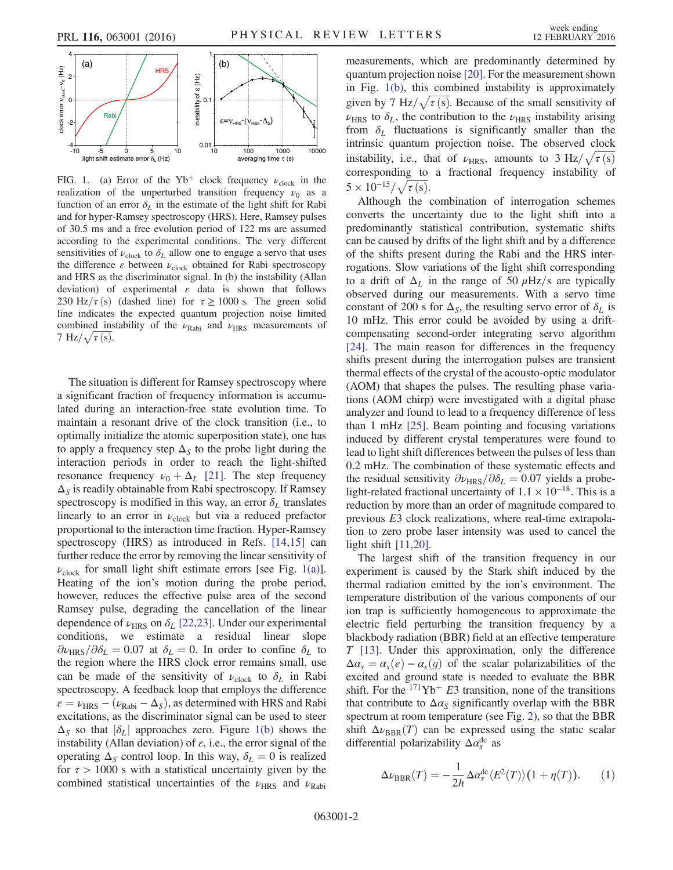<span id="page-1-0"></span>

FIG. 1. (a) Error of the Yb<sup>+</sup> clock frequency  $\nu_{\text{clock}}$  in the realization of the unperturbed transition frequency  $\nu_0$  as a function of an error  $\delta_L$  in the estimate of the light shift for Rabi and for hyper-Ramsey spectroscopy (HRS). Here, Ramsey pulses of 30.5 ms and a free evolution period of 122 ms are assumed according to the experimental conditions. The very different sensitivities of  $\nu_{\text{clock}}$  to  $\delta_L$  allow one to engage a servo that uses the difference  $\varepsilon$  between  $\nu_{\text{clock}}$  obtained for Rabi spectroscopy and HRS as the discriminator signal. In (b) the instability (Allan deviation) of experimental  $\varepsilon$  data is shown that follows 230 Hz/ $\tau$ (s) (dashed line) for  $\tau \ge 1000$  s. The green solid line indicates the expected quantum projection noise limited combined instability of the  $\nu_{\text{Rabi}}$  and  $\nu_{\text{HRS}}$  measurements of  $7 \text{ Hz}/\sqrt{\tau \text{(s)}}$ . 7 Hz/ $\sqrt{\tau(s)}$ .

The situation is different for Ramsey spectroscopy where a significant fraction of frequency information is accumulated during an interaction-free state evolution time. To maintain a resonant drive of the clock transition (i.e., to optimally initialize the atomic superposition state), one has to apply a frequency step  $\Delta_S$  to the probe light during the interaction periods in order to reach the light-shifted resonance frequency  $\nu_0 + \Delta_L$  [\[21\]](#page-4-10). The step frequency  $\Delta_S$  is readily obtainable from Rabi spectroscopy. If Ramsey spectroscopy is modified in this way, an error  $\delta_L$  translates linearly to an error in  $\nu_{\rm clock}$  but via a reduced prefactor proportional to the interaction time fraction. Hyper-Ramsey spectroscopy (HRS) as introduced in Refs. [\[14,15\]](#page-4-5) can further reduce the error by removing the linear sensitivity of  $\nu_{\text{clock}}$  for small light shift estimate errors [see Fig. [1\(a\)](#page-1-0)]. Heating of the ion's motion during the probe period, however, reduces the effective pulse area of the second Ramsey pulse, degrading the cancellation of the linear dependence of  $\nu_{\text{HRS}}$  on  $\delta_L$  [\[22,23\].](#page-4-11) Under our experimental conditions, we estimate a residual linear slope  $\partial \nu_{\text{HRS}}/\partial \delta_L = 0.07$  at  $\delta_L = 0$ . In order to confine  $\delta_L$  to the region where the HRS clock error remains small, use can be made of the sensitivity of  $\nu_{\text{clock}}$  to  $\delta_L$  in Rabi spectroscopy. A feedback loop that employs the difference  $\varepsilon = \nu_{\text{HRS}} - (\nu_{\text{Rabi}} - \Delta_s)$ , as determined with HRS and Rabi excitations, as the discriminator signal can be used to steer  $\Delta_S$  so that  $|\delta_L|$  approaches zero. Figure [1\(b\)](#page-1-0) shows the instability (Allan deviation) of  $\varepsilon$ , i.e., the error signal of the operating  $\Delta_S$  control loop. In this way,  $\delta_L = 0$  is realized for  $\tau > 1000$  s with a statistical uncertainty given by the combined statistical uncertainties of the  $\nu_{\rm HRS}$  and  $\nu_{\rm Rabi}$  measurements, which are predominantly determined by quantum projection noise [\[20\]](#page-4-9). For the measurement shown in Fig. [1\(b\)](#page-1-0), this combined instability is approximately in Fig. 1(b), this combined instability is approximately<br>given by 7 Hz/ $\sqrt{\tau(s)}$ . Because of the small sensitivity of  $\nu_{\text{HRS}}$  to  $\delta_L$ , the contribution to the  $\nu_{\text{HRS}}$  instability arising from  $\delta_L$  fluctuations is significantly smaller than the intrinsic quantum projection noise. The observed clock intrinsic quantum projection noise. The observed clock<br>instability, i.e., that of  $\nu_{\text{HRS}}$ , amounts to  $3 \text{ Hz}/\sqrt{\tau(s)}$ corresponding to a fractional frequency instability of corresponding to<br> $5 \times 10^{-15} / \sqrt{\tau(s)}$ .

Although the combination of interrogation schemes converts the uncertainty due to the light shift into a predominantly statistical contribution, systematic shifts can be caused by drifts of the light shift and by a difference of the shifts present during the Rabi and the HRS interrogations. Slow variations of the light shift corresponding to a drift of  $\Delta_L$  in the range of 50  $\mu$ Hz/s are typically observed during our measurements. With a servo time constant of 200 s for  $\Delta_{S}$ , the resulting servo error of  $\delta_{L}$  is 10 mHz. This error could be avoided by using a driftcompensating second-order integrating servo algorithm [\[24\]](#page-4-12). The main reason for differences in the frequency shifts present during the interrogation pulses are transient thermal effects of the crystal of the acousto-optic modulator (AOM) that shapes the pulses. The resulting phase variations (AOM chirp) were investigated with a digital phase analyzer and found to lead to a frequency difference of less than 1 mHz [\[25\]](#page-4-13). Beam pointing and focusing variations induced by different crystal temperatures were found to lead to light shift differences between the pulses of less than 0.2 mHz. The combination of these systematic effects and the residual sensitivity  $\partial \nu_{\text{HRS}}/\partial \delta_L = 0.07$  yields a probelight-related fractional uncertainty of  $1.1 \times 10^{-18}$ . This is a reduction by more than an order of magnitude compared to previous E3 clock realizations, where real-time extrapolation to zero probe laser intensity was used to cancel the light shift [\[11,20\]](#page-4-3).

The largest shift of the transition frequency in our experiment is caused by the Stark shift induced by the thermal radiation emitted by the ion's environment. The temperature distribution of the various components of our ion trap is sufficiently homogeneous to approximate the electric field perturbing the transition frequency by a blackbody radiation (BBR) field at an effective temperature T [\[13\].](#page-4-4) Under this approximation, only the difference  $\Delta \alpha_s = \alpha_s(e) - \alpha_s(g)$  of the scalar polarizabilities of the excited and ground state is needed to evaluate the BBR shift. For the  $171\text{Yb}$ <sup>+</sup> E3 transition, none of the transitions that contribute to  $\Delta \alpha_s$  significantly overlap with the BBR spectrum at room temperature (see Fig. [2](#page-2-0)), so that the BBR shift  $\Delta \nu_{\text{BRR}}(T)$  can be expressed using the static scalar differential polarizability  $\Delta a_s^{\text{dc}}$  as

<span id="page-1-1"></span>
$$
\Delta \nu_{\text{BBR}}(T) = -\frac{1}{2h} \Delta \alpha_s^{\text{dc}} \langle E^2(T) \rangle (1 + \eta(T)). \tag{1}
$$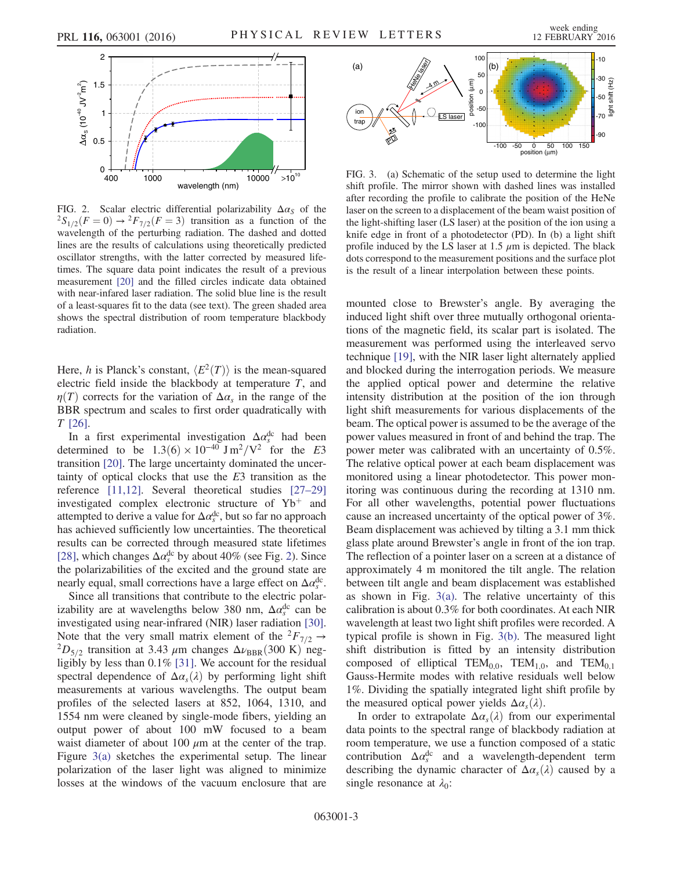<span id="page-2-0"></span>

FIG. 2. Scalar electric differential polarizability  $\Delta \alpha_S$  of the  ${}^2S_{1/2}(F=0) \rightarrow {}^2F_{7/2}(F=3)$  transition as a function of the wavelength of the perturbing radiation. The dashed and dotted lines are the results of calculations using theoretically predicted oscillator strengths, with the latter corrected by measured lifetimes. The square data point indicates the result of a previous measurement [\[20\]](#page-4-9) and the filled circles indicate data obtained with near-infared laser radiation. The solid blue line is the result of a least-squares fit to the data (see text). The green shaded area shows the spectral distribution of room temperature blackbody radiation.

Here, h is Planck's constant,  $\langle E^2(T) \rangle$  is the mean-squared electric field inside the blackbody at temperature  $T$ , and  $\eta(T)$  corrects for the variation of  $\Delta a_s$  in the range of the BBR spectrum and scales to first order quadratically with T [\[26\].](#page-4-14)

In a first experimental investigation  $\Delta \alpha_s^{\rm dc}$  had been determined to be  $1.3(6) \times 10^{-40}$  J m<sup>2</sup>/V<sup>2</sup> for the E3 transition [\[20\]](#page-4-9). The large uncertainty dominated the uncertainty of optical clocks that use the E3 transition as the reference [\[11,12\]](#page-4-3). Several theoretical studies [\[27](#page-4-15)–29] investigated complex electronic structure of  $Yb^+$  and attempted to derive a value for  $\Delta \alpha_s^{\rm dc}$ , but so far no approach has achieved sufficiently low uncertainties. The theoretical results can be corrected through measured state lifetimes [\[28\]](#page-4-16), which changes  $\Delta \alpha_s^{\rm dc}$  by about 40% (see Fig. [2](#page-2-0)). Since the polarizabilities of the excited and the ground state are nearly equal, small corrections have a large effect on  $\Delta \alpha_s^{\rm dc}$ .

Since all transitions that contribute to the electric polarizability are at wavelengths below 380 nm,  $\Delta a_s^{\text{dc}}$  can be investigated using near-infrared (NIR) laser radiation [\[30\]](#page-4-17). Note that the very small matrix element of the  ${}^2F_{7/2} \rightarrow {}^2D_{5/2}$  transition at 3.43  $\mu$ m changes  $\Delta \nu_{BBR}$ (300 K) negligibly by less than 0.1% [\[31\]](#page-4-18). We account for the residual spectral dependence of  $\Delta \alpha_s(\lambda)$  by performing light shift measurements at various wavelengths. The output beam profiles of the selected lasers at 852, 1064, 1310, and 1554 nm were cleaned by single-mode fibers, yielding an output power of about 100 mW focused to a beam waist diameter of about 100  $\mu$ m at the center of the trap. Figure [3\(a\)](#page-2-1) sketches the experimental setup. The linear polarization of the laser light was aligned to minimize losses at the windows of the vacuum enclosure that are

<span id="page-2-1"></span>

FIG. 3. (a) Schematic of the setup used to determine the light shift profile. The mirror shown with dashed lines was installed after recording the profile to calibrate the position of the HeNe laser on the screen to a displacement of the beam waist position of the light-shifting laser (LS laser) at the position of the ion using a knife edge in front of a photodetector (PD). In (b) a light shift profile induced by the LS laser at  $1.5 \mu m$  is depicted. The black dots correspond to the measurement positions and the surface plot is the result of a linear interpolation between these points.

mounted close to Brewster's angle. By averaging the induced light shift over three mutually orthogonal orientations of the magnetic field, its scalar part is isolated. The measurement was performed using the interleaved servo technique [\[19\],](#page-4-8) with the NIR laser light alternately applied and blocked during the interrogation periods. We measure the applied optical power and determine the relative intensity distribution at the position of the ion through light shift measurements for various displacements of the beam. The optical power is assumed to be the average of the power values measured in front of and behind the trap. The power meter was calibrated with an uncertainty of 0.5%. The relative optical power at each beam displacement was monitored using a linear photodetector. This power monitoring was continuous during the recording at 1310 nm. For all other wavelengths, potential power fluctuations cause an increased uncertainty of the optical power of 3%. Beam displacement was achieved by tilting a 3.1 mm thick glass plate around Brewster's angle in front of the ion trap. The reflection of a pointer laser on a screen at a distance of approximately 4 m monitored the tilt angle. The relation between tilt angle and beam displacement was established as shown in Fig.  $3(a)$ . The relative uncertainty of this calibration is about 0.3% for both coordinates. At each NIR wavelength at least two light shift profiles were recorded. A typical profile is shown in Fig. [3\(b\)](#page-2-1). The measured light shift distribution is fitted by an intensity distribution composed of elliptical TEM<sub>0,0</sub>, TEM<sub>1,0</sub>, and TEM<sub>0,1</sub> Gauss-Hermite modes with relative residuals well below 1%. Dividing the spatially integrated light shift profile by the measured optical power yields  $\Delta \alpha_s(\lambda)$ .

In order to extrapolate  $\Delta \alpha_s(\lambda)$  from our experimental data points to the spectral range of blackbody radiation at room temperature, we use a function composed of a static contribution  $\Delta \alpha_s^{\text{dc}}$  and a wavelength-dependent term describing the dynamic character of  $\Delta \alpha_s(\lambda)$  caused by a single resonance at  $\lambda_0$ :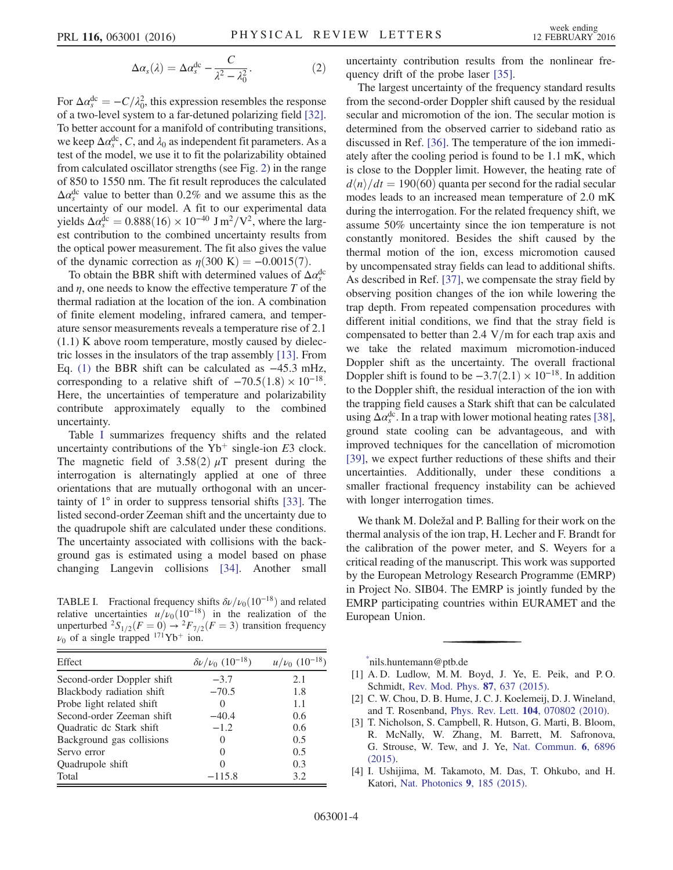$$
\Delta \alpha_s(\lambda) = \Delta \alpha_s^{\text{dc}} - \frac{C}{\lambda^2 - \lambda_0^2}.
$$
 (2)

For  $\Delta \alpha_s^{\rm dc} = -C/\lambda_0^2$ , this expression resembles the response of a two-level system to a far-detuned polarizing field [\[32\]](#page-4-19). To better account for a manifold of contributing transitions, we keep  $\Delta a_s^{\text{dc}}$ , C, and  $\lambda_0$  as independent fit parameters. As a test of the model, we use it to fit the polarizability obtained from calculated oscillator strengths (see Fig. [2\)](#page-2-0) in the range of 850 to 1550 nm. The fit result reproduces the calculated  $\Delta a_s^{\text{dc}}$  value to better than 0.2% and we assume this as the uncertainty of our model. A fit to our experimental data yields  $\Delta \alpha_s^{\text{dc}} = 0.888(16) \times 10^{-40} \text{ J m}^2/\text{V}^2$ , where the largest contribution to the combined uncertainty results from the optical power measurement. The fit also gives the value of the dynamic correction as  $\eta(300 \text{ K}) = -0.0015(7)$ .

To obtain the BBR shift with determined values of  $\Delta a_s^{\text{dc}}$ and  $\eta$ , one needs to know the effective temperature  $T$  of the thermal radiation at the location of the ion. A combination of finite element modeling, infrared camera, and temperature sensor measurements reveals a temperature rise of 2.1 (1.1) K above room temperature, mostly caused by dielectric losses in the insulators of the trap assembly [\[13\]](#page-4-4). From Eq. [\(1\)](#page-1-1) the BBR shift can be calculated as −45.3 mHz, corresponding to a relative shift of  $-70.5(1.8) \times 10^{-18}$ . Here, the uncertainties of temperature and polarizability contribute approximately equally to the combined uncertainty.

Table [I](#page-3-5) summarizes frequency shifts and the related uncertainty contributions of the  $Yb^+$  single-ion E3 clock. The magnetic field of 3.58(2)  $\mu$ T present during the interrogation is alternatingly applied at one of three orientations that are mutually orthogonal with an uncertainty of 1° in order to suppress tensorial shifts [\[33\].](#page-4-20) The listed second-order Zeeman shift and the uncertainty due to the quadrupole shift are calculated under these conditions. The uncertainty associated with collisions with the background gas is estimated using a model based on phase changing Langevin collisions [\[34\]](#page-4-21). Another small

<span id="page-3-5"></span>TABLE I. Fractional frequency shifts  $\delta\nu/\nu_0(10^{-18})$  and related relative uncertainties  $u/v_0(10^{-18})$  in the realization of the unperturbed  ${}^{2}S_{1/2}(F = 0) \rightarrow {}^{2}F_{7/2}(F = 3)$  transition frequency  $\nu_0$  of a single trapped <sup>171</sup>Yb<sup>+</sup> ion.

| Effect                     | $\delta \nu / \nu_0$ (10 <sup>-18</sup> ) | $u/\nu_0$ (10 <sup>-18</sup> ) |
|----------------------------|-------------------------------------------|--------------------------------|
| Second-order Doppler shift | $-3.7$                                    | 2.1                            |
| Blackbody radiation shift  | $-70.5$                                   | 1.8                            |
| Probe light related shift  |                                           | 1.1                            |
| Second-order Zeeman shift  | $-40.4$                                   | 0.6                            |
| Quadratic de Stark shift   | $-1.2$                                    | 0.6                            |
| Background gas collisions  | $\mathbf{\Omega}$                         | 0.5                            |
| Servo error                | $\mathbf{0}$                              | 0.5                            |
| Quadrupole shift           | 0                                         | 0.3                            |
| Total                      | $-115.8$                                  | 3.2                            |

uncertainty contribution results from the nonlinear frequency drift of the probe laser [\[35\]](#page-4-22).

The largest uncertainty of the frequency standard results from the second-order Doppler shift caused by the residual secular and micromotion of the ion. The secular motion is determined from the observed carrier to sideband ratio as discussed in Ref. [\[36\].](#page-4-23) The temperature of the ion immediately after the cooling period is found to be 1.1 mK, which is close to the Doppler limit. However, the heating rate of  $d\langle n\rangle/dt=190(60)$  quanta per second for the radial secular modes leads to an increased mean temperature of 2.0 mK during the interrogation. For the related frequency shift, we assume 50% uncertainty since the ion temperature is not constantly monitored. Besides the shift caused by the thermal motion of the ion, excess micromotion caused by uncompensated stray fields can lead to additional shifts. As described in Ref. [\[37\]](#page-4-24), we compensate the stray field by observing position changes of the ion while lowering the trap depth. From repeated compensation procedures with different initial conditions, we find that the stray field is compensated to better than 2.4  $V/m$  for each trap axis and we take the related maximum micromotion-induced Doppler shift as the uncertainty. The overall fractional Doppler shift is found to be  $-3.7(2.1) \times 10^{-18}$ . In addition to the Doppler shift, the residual interaction of the ion with the trapping field causes a Stark shift that can be calculated using  $\Delta \alpha_s^{\rm dc}$ . In a trap with lower motional heating rates [\[38\]](#page-4-25), ground state cooling can be advantageous, and with improved techniques for the cancellation of micromotion [\[39\]](#page-4-26), we expect further reductions of these shifts and their uncertainties. Additionally, under these conditions a smaller fractional frequency instability can be achieved with longer interrogation times.

We thank M. Doležal and P. Balling for their work on the thermal analysis of the ion trap, H. Lecher and F. Brandt for the calibration of the power meter, and S. Weyers for a critical reading of the manuscript. This work was supported by the European Metrology Research Programme (EMRP) in Project No. SIB04. The EMRP is jointly funded by the EMRP participating countries within EURAMET and the European Union.

<span id="page-3-1"></span><span id="page-3-0"></span>[\\*](#page-0-0) nils.huntemann@ptb.de

- <span id="page-3-2"></span>[1] A. D. Ludlow, M. M. Boyd, J. Ye, E. Peik, and P. O. Schmidt, [Rev. Mod. Phys.](http://dx.doi.org/10.1103/RevModPhys.87.637) 87, 637 (2015).
- <span id="page-3-3"></span>[2] C. W. Chou, D. B. Hume, J. C. J. Koelemeij, D. J. Wineland, and T. Rosenband, Phys. Rev. Lett. 104[, 070802 \(2010\)](http://dx.doi.org/10.1103/PhysRevLett.104.070802).
- <span id="page-3-4"></span>[3] T. Nicholson, S. Campbell, R. Hutson, G. Marti, B. Bloom, R. McNally, W. Zhang, M. Barrett, M. Safronova, G. Strouse, W. Tew, and J. Ye, [Nat. Commun.](http://dx.doi.org/10.1038/ncomms7896) 6, 6896 [\(2015\).](http://dx.doi.org/10.1038/ncomms7896)
- [4] I. Ushijima, M. Takamoto, M. Das, T. Ohkubo, and H. Katori, [Nat. Photonics](http://dx.doi.org/10.1038/nphoton.2015.5) 9, 185 (2015).